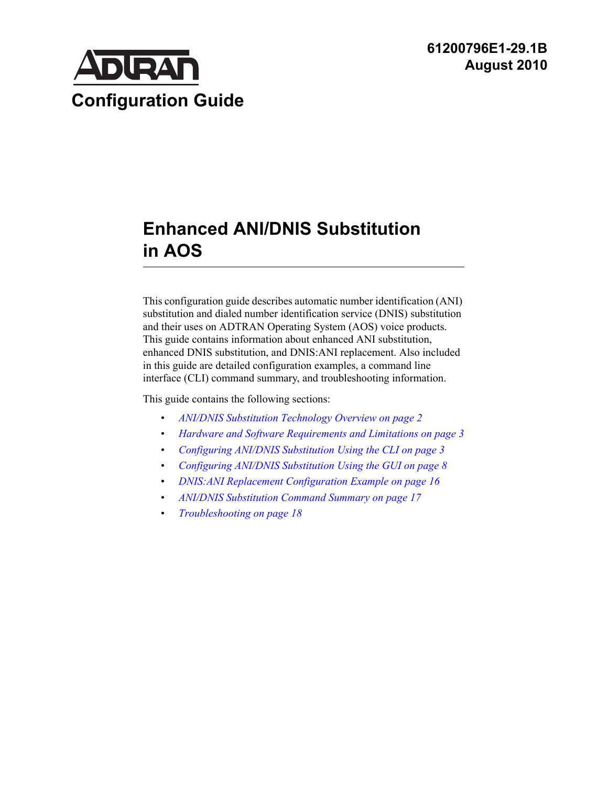

# **Enhanced ANI/DNIS Substitution in AOS**

This configuration guide describes automatic number identification (ANI) substitution and dialed number identification service (DNIS) substitution and their uses on ADTRAN Operating System (AOS) voice products. This guide contains information about enhanced ANI substitution, enhanced DNIS substitution, and DNIS:ANI replacement. Also included in this guide are detailed configuration examples, a command line interface (CLI) command summary, and troubleshooting information.

This guide contains the following sections:

- *[ANI/DNIS Substitution Technology Overview on page 2](#page-1-0)*
- *[Hardware and Software Requirements and Limitations on page 3](#page-2-0)*
- *[Configuring ANI/DNIS Substitution Using the CLI on page 3](#page-2-1)*
- *[Configuring ANI/DNIS Substitution Using the GUI on page 8](#page-7-0)*
- *[DNIS:ANI Replacement Configuration Example on page 16](#page-15-0)*
- *[ANI/DNIS Substitution Command Summary on page 17](#page-16-0)*
- *[Troubleshooting on page 18](#page-17-0)*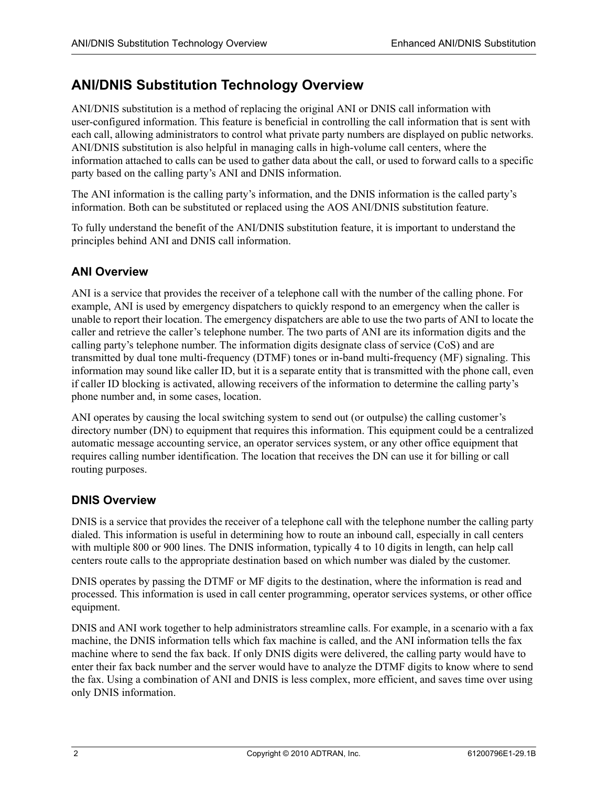## <span id="page-1-0"></span>**ANI/DNIS Substitution Technology Overview**

ANI/DNIS substitution is a method of replacing the original ANI or DNIS call information with user-configured information. This feature is beneficial in controlling the call information that is sent with each call, allowing administrators to control what private party numbers are displayed on public networks. ANI/DNIS substitution is also helpful in managing calls in high-volume call centers, where the information attached to calls can be used to gather data about the call, or used to forward calls to a specific party based on the calling party's ANI and DNIS information.

The ANI information is the calling party's information, and the DNIS information is the called party's information. Both can be substituted or replaced using the AOS ANI/DNIS substitution feature.

To fully understand the benefit of the ANI/DNIS substitution feature, it is important to understand the principles behind ANI and DNIS call information.

## **ANI Overview**

ANI is a service that provides the receiver of a telephone call with the number of the calling phone. For example, ANI is used by emergency dispatchers to quickly respond to an emergency when the caller is unable to report their location. The emergency dispatchers are able to use the two parts of ANI to locate the caller and retrieve the caller's telephone number. The two parts of ANI are its information digits and the calling party's telephone number. The information digits designate class of service (CoS) and are transmitted by dual tone multi-frequency (DTMF) tones or in-band multi-frequency (MF) signaling. This information may sound like caller ID, but it is a separate entity that is transmitted with the phone call, even if caller ID blocking is activated, allowing receivers of the information to determine the calling party's phone number and, in some cases, location.

ANI operates by causing the local switching system to send out (or outpulse) the calling customer's directory number (DN) to equipment that requires this information. This equipment could be a centralized automatic message accounting service, an operator services system, or any other office equipment that requires calling number identification. The location that receives the DN can use it for billing or call routing purposes.

## **DNIS Overview**

DNIS is a service that provides the receiver of a telephone call with the telephone number the calling party dialed. This information is useful in determining how to route an inbound call, especially in call centers with multiple 800 or 900 lines. The DNIS information, typically 4 to 10 digits in length, can help call centers route calls to the appropriate destination based on which number was dialed by the customer.

DNIS operates by passing the DTMF or MF digits to the destination, where the information is read and processed. This information is used in call center programming, operator services systems, or other office equipment.

DNIS and ANI work together to help administrators streamline calls. For example, in a scenario with a fax machine, the DNIS information tells which fax machine is called, and the ANI information tells the fax machine where to send the fax back. If only DNIS digits were delivered, the calling party would have to enter their fax back number and the server would have to analyze the DTMF digits to know where to send the fax. Using a combination of ANI and DNIS is less complex, more efficient, and saves time over using only DNIS information.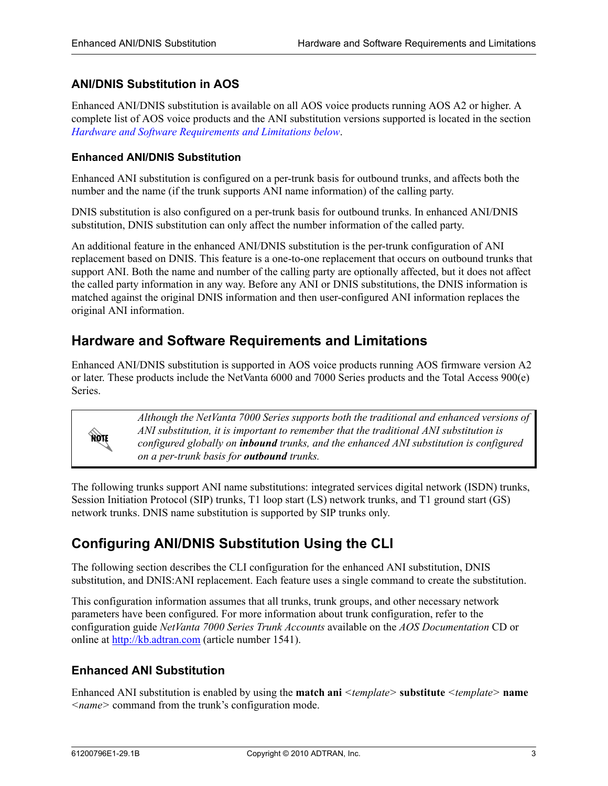### **ANI/DNIS Substitution in AOS**

Enhanced ANI/DNIS substitution is available on all AOS voice products running AOS A2 or higher. A complete list of AOS voice products and the ANI substitution versions supported is located in the section *[Hardware and Software Requirements and Limitations below](#page-2-0)*.

#### **Enhanced ANI/DNIS Substitution**

Enhanced ANI substitution is configured on a per-trunk basis for outbound trunks, and affects both the number and the name (if the trunk supports ANI name information) of the calling party.

DNIS substitution is also configured on a per-trunk basis for outbound trunks. In enhanced ANI/DNIS substitution, DNIS substitution can only affect the number information of the called party.

An additional feature in the enhanced ANI/DNIS substitution is the per-trunk configuration of ANI replacement based on DNIS. This feature is a one-to-one replacement that occurs on outbound trunks that support ANI. Both the name and number of the calling party are optionally affected, but it does not affect the called party information in any way. Before any ANI or DNIS substitutions, the DNIS information is matched against the original DNIS information and then user-configured ANI information replaces the original ANI information.

## <span id="page-2-0"></span>**Hardware and Software Requirements and Limitations**

Enhanced ANI/DNIS substitution is supported in AOS voice products running AOS firmware version A2 or later. These products include the NetVanta 6000 and 7000 Series products and the Total Access 900(e) **Series**.



*Although the NetVanta 7000 Series supports both the traditional and enhanced versions of ANI substitution, it is important to remember that the traditional ANI substitution is configured globally on inbound trunks, and the enhanced ANI substitution is configured on a per-trunk basis for outbound trunks.*

The following trunks support ANI name substitutions: integrated services digital network (ISDN) trunks, Session Initiation Protocol (SIP) trunks, T1 loop start (LS) network trunks, and T1 ground start (GS) network trunks. DNIS name substitution is supported by SIP trunks only.

## <span id="page-2-1"></span>**Configuring ANI/DNIS Substitution Using the CLI**

The following section describes the CLI configuration for the enhanced ANI substitution, DNIS substitution, and DNIS:ANI replacement. Each feature uses a single command to create the substitution.

This configuration information assumes that all trunks, trunk groups, and other necessary network parameters have been configured. For more information about trunk configuration, refer to the configuration guide *NetVanta 7000 Series Trunk Accounts* available on the *AOS Documentation* CD or online at http://kb.adtran.com (article number 1541).

#### **Enhanced ANI Substitution**

Enhanced ANI substitution is enabled by using the **match ani** *<template>* **substitute** *<template>* **name**  *<name>* command from the trunk's configuration mode.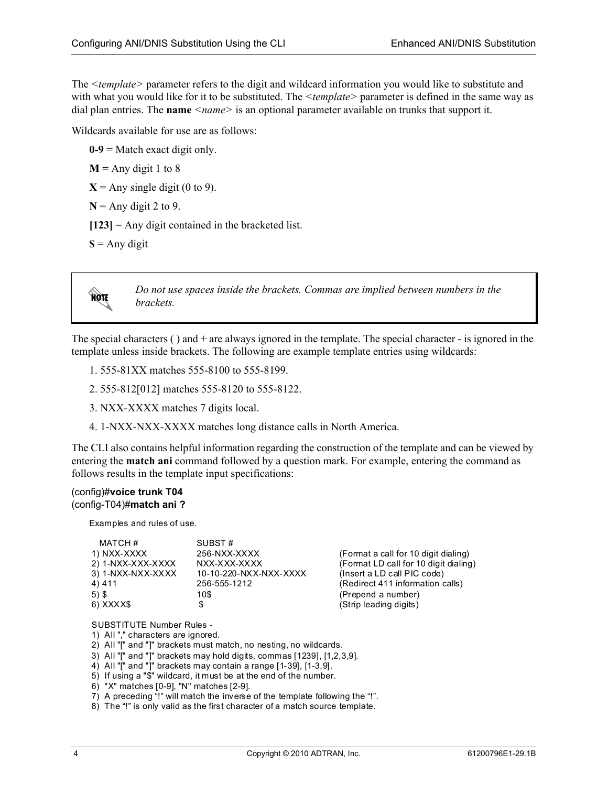The *<template>* parameter refers to the digit and wildcard information you would like to substitute and with what you would like for it to be substituted. The *<template>* parameter is defined in the same way as dial plan entries. The **name** *<name* > is an optional parameter available on trunks that support it.

Wildcards available for use are as follows:

 $0-9$  = Match exact digit only.

 $M =$  Any digit 1 to 8

 $X =$  Any single digit (0 to 9).

 $N =$  Any digit 2 to 9.

**[123]** = Any digit contained in the bracketed list.

 $\$ =$  Any digit

**AQIF** 

*Do not use spaces inside the brackets. Commas are implied between numbers in the brackets.*

The special characters ( ) and + are always ignored in the template. The special character - is ignored in the template unless inside brackets. The following are example template entries using wildcards:

- 1. 555-81XX matches 555-8100 to 555-8199.
- 2. 555-812[012] matches 555-8120 to 555-8122.
- 3. NXX-XXXX matches 7 digits local.
- 4. 1-NXX-NXX-XXXX matches long distance calls in North America.

The CLI also contains helpful information regarding the construction of the template and can be viewed by entering the **match ani** command followed by a question mark. For example, entering the command as follows results in the template input specifications:

#### (config)#**voice trunk T04** (config-T04)#**match ani ?**

Examples and rules of use.

| MATCH#            | SUBST#                 |                                       |
|-------------------|------------------------|---------------------------------------|
| 1) NXX-XXXX       | 256-NXX-XXXX           | (Format a call for 10 digit dialing)  |
| 2) 1-NXX-XXX-XXXX | NXX-XXX-XXXX           | (Format LD call for 10 digit dialing) |
| 3) 1-NXX-NXX-XXXX | 10-10-220-NXX-NXX-XXXX | (Insert a LD call PIC code)           |
| 4) 411            | 256-555-1212           | (Redirect 411 information calls)      |
| $5)$ \$           | 10\$                   | (Prepend a number)                    |
| 6) XXXX\$         |                        | (Strip leading digits)                |

SUBSTITUTE Number Rules -

1) All "," characters are ignored.

- 2) All "[" and "]" brackets must match, no nesting, no wildcards.
- 3) All "[" and "]" brackets may hold digits, commas [1239], [1,2,3,9].
- 4) All "[" and "]" brackets may contain a range [1-39], [1-3,9].
- 5) If using a "\$" wildcard, it must be at the end of the number.
- 6) "X" matches [0-9], "N" matches [2-9].
- 7) A preceding "!" will match the inverse of the template following the "!".
- 8) The "!" is only valid as the first character of a match source template.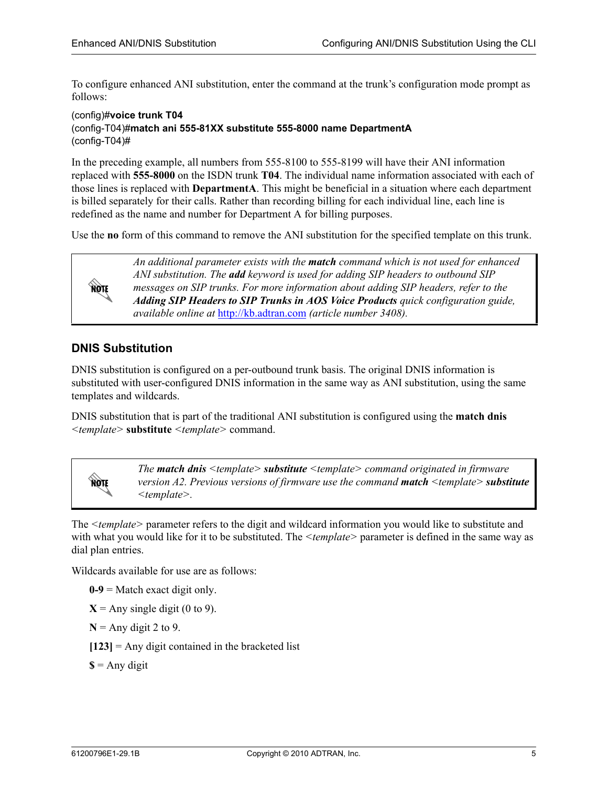To configure enhanced ANI substitution, enter the command at the trunk's configuration mode prompt as follows:

#### (config)#**voice trunk T04** (config-T04)#**match ani 555-81XX substitute 555-8000 name DepartmentA** (config-T04)#

In the preceding example, all numbers from 555-8100 to 555-8199 will have their ANI information replaced with **555-8000** on the ISDN trunk **T04**. The individual name information associated with each of those lines is replaced with **DepartmentA**. This might be beneficial in a situation where each department is billed separately for their calls. Rather than recording billing for each individual line, each line is redefined as the name and number for Department A for billing purposes.

Use the **no** form of this command to remove the ANI substitution for the specified template on this trunk.



*An additional parameter exists with the match command which is not used for enhanced ANI substitution. The add keyword is used for adding SIP headers to outbound SIP messages on SIP trunks. For more information about adding SIP headers, refer to the Adding SIP Headers to SIP Trunks in AOS Voice Products quick configuration guide, available online at* <http://kb.adtran.com> *(article number 3408).*

## **DNIS Substitution**

DNIS substitution is configured on a per-outbound trunk basis. The original DNIS information is substituted with user-configured DNIS information in the same way as ANI substitution, using the same templates and wildcards.

DNIS substitution that is part of the traditional ANI substitution is configured using the **match dnis**  *<template>* **substitute** *<template>* command.



*The match dnis <template> substitute <template> command originated in firmware version A2. Previous versions of firmware use the command match <template> substitute <template>.*

The *<template>* parameter refers to the digit and wildcard information you would like to substitute and with what you would like for it to be substituted. The *<template>* parameter is defined in the same way as dial plan entries.

<span id="page-4-0"></span>Wildcards available for use are as follows:

 $0-9$  = Match exact digit only.

 $X =$  Any single digit (0 to 9).

 $N =$  Any digit 2 to 9.

 $[123]$  = Any digit contained in the bracketed list

 $\mathbf{\$ = \mathbf{Any} \mathbf{ digit}}$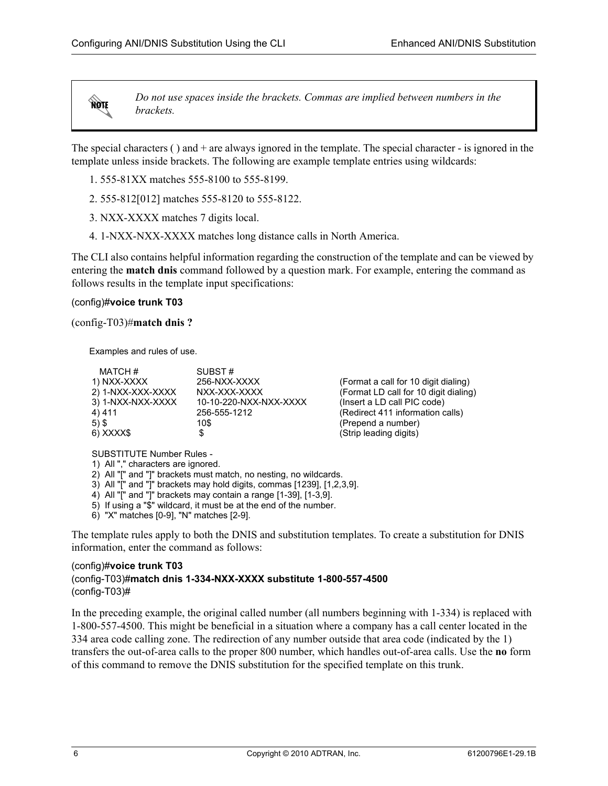**HQIF** 

*Do not use spaces inside the brackets. Commas are implied between numbers in the brackets.*

The special characters ( ) and + are always ignored in the template. The special character - is ignored in the template unless inside brackets. The following are example template entries using wildcards:

- 1. 555-81XX matches 555-8100 to 555-8199.
- 2. 555-812[012] matches 555-8120 to 555-8122.
- 3. NXX-XXXX matches 7 digits local.
- 4. 1-NXX-NXX-XXXX matches long distance calls in North America.

The CLI also contains helpful information regarding the construction of the template and can be viewed by entering the **match dnis** command followed by a question mark. For example, entering the command as follows results in the template input specifications:

#### (config)#**voice trunk T03**

(config-T03)#**match dnis ?**

Examples and rules of use.

| MATCH#            | SUBST#                 |                        |
|-------------------|------------------------|------------------------|
| 1) NXX-XXXX       | 256-NXX-XXXX           | (Format a call for 10  |
| 2) 1-NXX-XXX-XXXX | NXX-XXX-XXXX           | (Format LD call for 1  |
| 3) 1-NXX-NXX-XXXX | 10-10-220-NXX-NXX-XXXX | (Insert a LD call PIC  |
| 4) 411            | 256-555-1212           | (Redirect 411 inform   |
| $5)$ \$           | 10\$                   | (Prepend a number)     |
| 6) XXXX\$         |                        | (Strip leading digits) |
|                   |                        |                        |

for 10 digit dialing)  $II$  for 10 digit dialing) all PIC code) information calls)

SUBSTITUTE Number Rules -

- 1) All "," characters are ignored.
- 2) All "[" and "]" brackets must match, no nesting, no wildcards.
- 3) All "[" and "]" brackets may hold digits, commas [1239], [1,2,3,9].
- 4) All "[" and "]" brackets may contain a range [1-39], [1-3,9].
- 5) If using a "\$" wildcard, it must be at the end of the number.
- 6) "X" matches [0-9], "N" matches [2-9].

The template rules apply to both the DNIS and substitution templates. To create a substitution for DNIS information, enter the command as follows:

#### (config)#**voice trunk T03** (config-T03)#**match dnis 1-334-NXX-XXXX substitute 1-800-557-4500** (config-T03)#

In the preceding example, the original called number (all numbers beginning with 1-334) is replaced with 1-800-557-4500. This might be beneficial in a situation where a company has a call center located in the 334 area code calling zone. The redirection of any number outside that area code (indicated by the 1) transfers the out-of-area calls to the proper 800 number, which handles out-of-area calls. Use the **no** form of this command to remove the DNIS substitution for the specified template on this trunk.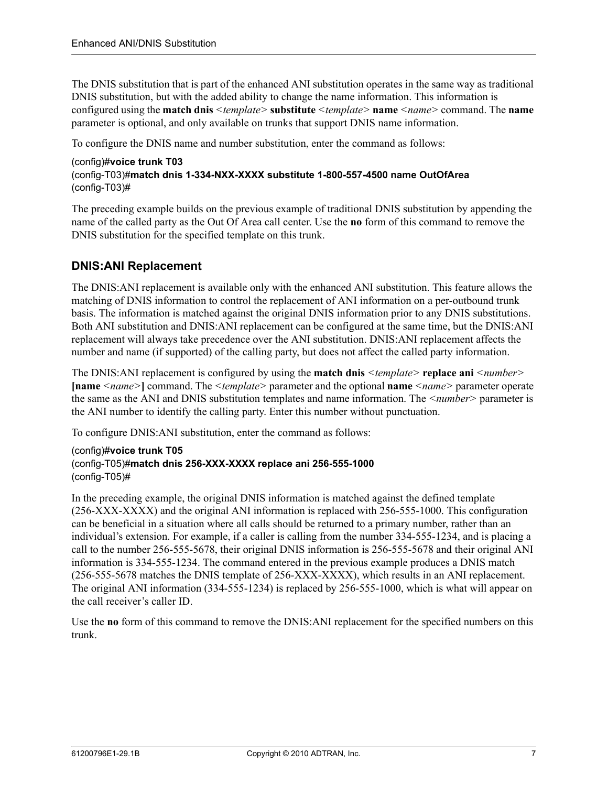The DNIS substitution that is part of the enhanced ANI substitution operates in the same way as traditional DNIS substitution, but with the added ability to change the name information. This information is configured using the **match dnis** *<template>* **substitute** *<template>* **name** *<name>* command. The **name** parameter is optional, and only available on trunks that support DNIS name information.

To configure the DNIS name and number substitution, enter the command as follows:

#### (config)#**voice trunk T03** (config-T03)#**match dnis 1-334-NXX-XXXX substitute 1-800-557-4500 name OutOfArea** (config-T03)#

The preceding example builds on the previous example of traditional DNIS substitution by appending the name of the called party as the Out Of Area call center. Use the **no** form of this command to remove the DNIS substitution for the specified template on this trunk.

## **DNIS:ANI Replacement**

The DNIS:ANI replacement is available only with the enhanced ANI substitution. This feature allows the matching of DNIS information to control the replacement of ANI information on a per-outbound trunk basis. The information is matched against the original DNIS information prior to any DNIS substitutions. Both ANI substitution and DNIS:ANI replacement can be configured at the same time, but the DNIS:ANI replacement will always take precedence over the ANI substitution. DNIS:ANI replacement affects the number and name (if supported) of the calling party, but does not affect the called party information.

The DNIS:ANI replacement is configured by using the **match dnis** *<template>* **replace ani** *<number>* **[name** *<name>***]** command. The *<template>* parameter and the optional **name** *<name>* parameter operate the same as the ANI and DNIS substitution templates and name information. The *<number>* parameter is the ANI number to identify the calling party. Enter this number without punctuation.

To configure DNIS:ANI substitution, enter the command as follows:

#### (config)#**voice trunk T05** (config-T05)#**match dnis 256-XXX-XXXX replace ani 256-555-1000** (config-T05)#

In the preceding example, the original DNIS information is matched against the defined template (256-XXX-XXXX) and the original ANI information is replaced with 256-555-1000. This configuration can be beneficial in a situation where all calls should be returned to a primary number, rather than an individual's extension. For example, if a caller is calling from the number 334-555-1234, and is placing a call to the number 256-555-5678, their original DNIS information is 256-555-5678 and their original ANI information is 334-555-1234. The command entered in the previous example produces a DNIS match (256-555-5678 matches the DNIS template of 256-XXX-XXXX), which results in an ANI replacement. The original ANI information (334-555-1234) is replaced by 256-555-1000, which is what will appear on the call receiver's caller ID.

Use the **no** form of this command to remove the DNIS:ANI replacement for the specified numbers on this trunk.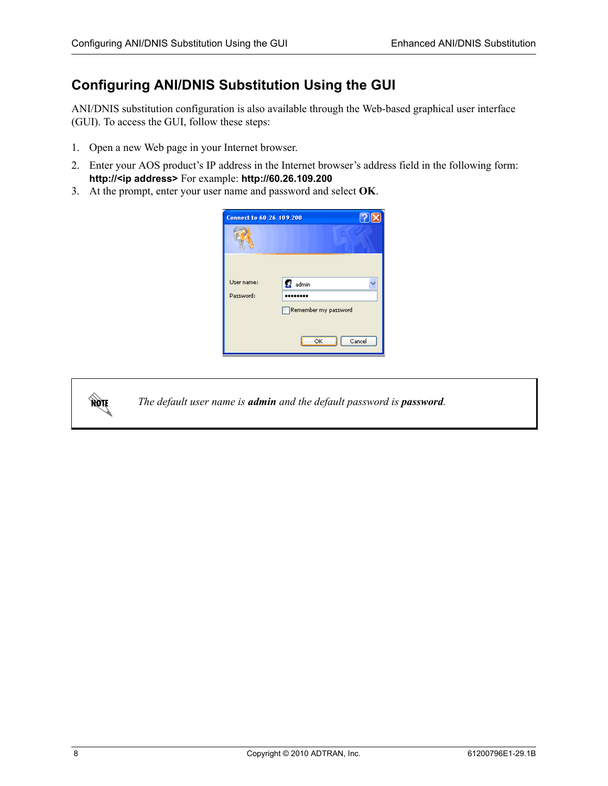## <span id="page-7-0"></span>**Configuring ANI/DNIS Substitution Using the GUI**

ANI/DNIS substitution configuration is also available through the Web-based graphical user interface (GUI). To access the GUI, follow these steps:

- 1. Open a new Web page in your Internet browser.
- 2. Enter your AOS product's IP address in the Internet browser's address field in the following form: **http://<ip address>** For example: **http://60.26.109.200**
- 3. At the prompt, enter your user name and password and select **OK**.

| <b>Connect to 60.26.109.200</b> |                      |
|---------------------------------|----------------------|
|                                 |                      |
|                                 |                      |
| User name:                      | 22 admin             |
| Password:                       |                      |
|                                 | Remember my password |
|                                 |                      |
|                                 | Cancel<br>OK         |



*The default user name is admin and the default password is password.*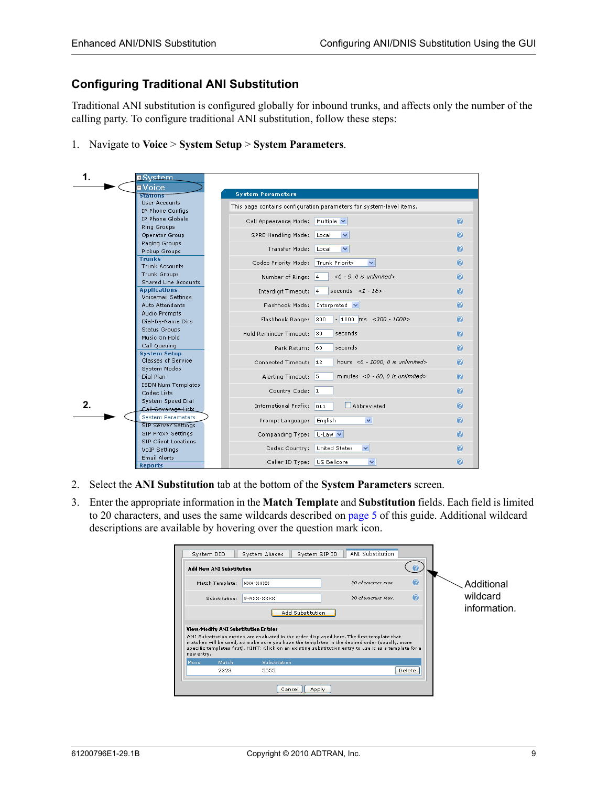## **Configuring Traditional ANI Substitution**

Traditional ANI substitution is configured globally for inbound trunks, and affects only the number of the calling party. To configure traditional ANI substitution, follow these steps:

1. Navigate to **Voice** > **System Setup** > **System Parameters**.

| 1.      | <b>¤System</b>                                  |                                                                     |                  |
|---------|-------------------------------------------------|---------------------------------------------------------------------|------------------|
|         | $\blacksquare$ Voice<br>Stations                | <b>System Parameters</b>                                            |                  |
|         | <b>User Accounts</b>                            | This page contains configuration parameters for system-level items. |                  |
|         | IP Phone Configs<br>IP Phone Globals            |                                                                     |                  |
|         | Ring Groups                                     | Multiple V<br>Call Appearance Mode:                                 | $\boldsymbol{Q}$ |
|         | Operator Group                                  | SPRE Handling Mode:<br>Local<br>$\checkmark$                        | $\bullet$        |
|         | Paging Groups<br>Pickup Groups                  | Transfer Mode:<br>Local<br>$\checkmark$                             | $\bullet$        |
|         | <b>Trunks</b><br><b>Trunk Accounts</b>          | Codec Priority Mode:<br>Trunk Priority<br>$\checkmark$              | $\mathbf{Q}$     |
|         | Trunk Groups                                    | Number of Rings:<br>$<$ 0 - 9, 0 is unlimited><br>4                 | $\bullet$        |
|         | Shared Line Accounts<br><b>Applications</b>     |                                                                     |                  |
|         | Voicemail Settings                              | seconds <1 - $16>$<br>Interdigit Timeout:<br>4                      | $\mathbf{Q}$     |
|         | Auto Attendants                                 | Flashhook Mode:<br>Interpreted $\vee$                               | $\bullet$        |
|         | Audio Prompts<br>Dial-By-Name Dirs              | Flashhook Range:<br>300<br>$-1000$ ms <300 - 1000 >                 | $\bullet$        |
|         | Status Groups<br>Music On Hold                  | Hold Reminder Timeout:<br>seconds<br>30                             | $\bullet$        |
|         | Call Queuing                                    | seconds<br>Park Return:<br>60                                       | $\bullet$        |
|         | <b>System Setup</b><br>Classes of Service       |                                                                     |                  |
|         | System Modes                                    | 12<br>hours <0 - 1000, 0 is unlimited><br>Connected Timeout:        | $\bullet$        |
|         | Dial Plan                                       | minutes <0 - 60, 0 is unlimited><br>Alerting Timeout:<br>5          | $\bullet$        |
|         | <b>ISDN Num Templates</b><br>Codec Lists        | Country Code:<br> 1                                                 | $\bullet$        |
| $2_{-}$ | System Speed Dial                               | <b>International Prefix:</b><br>Abbreviated<br>011                  | $\bullet$        |
|         | Call Coverage Lists<br><b>System Parameters</b> |                                                                     |                  |
|         | <b>SIP Server Settings</b>                      | $\checkmark$<br>Prompt Language:<br>English                         | $\bullet$        |
|         | SIP Proxy Settings                              | Companding Type:<br>$U$ -Law $\vee$                                 | $\bullet$        |
|         | SIP Client Locations<br>VoIP Settings           | <b>United States</b><br>$\checkmark$<br>Codec Country:              | $\boldsymbol{Q}$ |
|         | <b>Email Alerts</b>                             | US Bellcore<br>$\checkmark$<br>Caller ID Type:                      | $\mathcal O$     |
|         | <b>Reports</b>                                  |                                                                     |                  |

- 2. Select the **ANI Substitution** tab at the bottom of the **System Parameters** screen.
- 3. Enter the appropriate information in the **Match Template** and **Substitution** fields. Each field is limited to 20 characters, and uses the same wildcards described on [page 5](#page-4-0) of this guide. Additional wildcard descriptions are available by hovering over the question mark icon.

|            | System DID                           | System SIP ID<br>System Aliases                                                                                                                                                              | ANI Substitution   |                  |              |
|------------|--------------------------------------|----------------------------------------------------------------------------------------------------------------------------------------------------------------------------------------------|--------------------|------------------|--------------|
|            | <b>Add New ANI Substitution</b>      |                                                                                                                                                                                              |                    |                  |              |
|            | Match Template:                      | NXX-XXXX                                                                                                                                                                                     | 20 characters max. | $\mathbf{Q}$     | Additional   |
|            | Substitution:                        | 9-NXX-XXXX                                                                                                                                                                                   | 20 characters max. | $\boldsymbol{c}$ | wildcard     |
|            |                                      | Add Substitution                                                                                                                                                                             |                    |                  | information. |
|            | View/Modify ANI Substitution Entries |                                                                                                                                                                                              |                    |                  |              |
|            |                                      | ANI Substitution entries are evaluated in the order displayed here. The first template that<br>matches will be used, so make sure you have the templates in the desired order (usually, more |                    |                  |              |
|            |                                      | specific templates first). HINT: Click on an existing substitution entry to use it as a template for a                                                                                       |                    |                  |              |
| new entry. | Match                                | Substitution                                                                                                                                                                                 |                    |                  |              |
| Move       |                                      |                                                                                                                                                                                              |                    |                  |              |
|            | 2323                                 | 5555                                                                                                                                                                                         |                    | Delete           |              |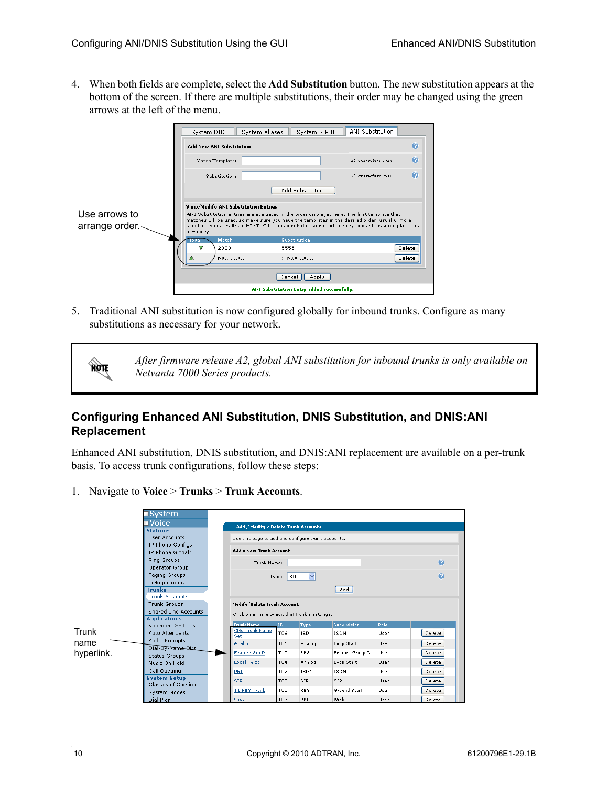4. When both fields are complete, select the **Add Substitution** button. The new substitution appears at the bottom of the screen. If there are multiple substitutions, their order may be changed using the green arrows at the left of the menu.

|                                 | System DID                                         | System Aliases | System SIP ID                                                                                                                                                                                                                                                                                          | ANI Substitution   |               |
|---------------------------------|----------------------------------------------------|----------------|--------------------------------------------------------------------------------------------------------------------------------------------------------------------------------------------------------------------------------------------------------------------------------------------------------|--------------------|---------------|
|                                 | <b>Add New ANI Substitution</b>                    |                |                                                                                                                                                                                                                                                                                                        |                    | $\bullet$     |
|                                 | Match Template:                                    |                |                                                                                                                                                                                                                                                                                                        | 20 characters max. | Q             |
|                                 | Substitution:                                      |                |                                                                                                                                                                                                                                                                                                        | 20 characters max. | $\bullet$     |
|                                 |                                                    |                | Add Substitution                                                                                                                                                                                                                                                                                       |                    |               |
| Use arrows to<br>arrange order. | View/Modify ANI Substitution Entries<br>new entry. |                | ANI Substitution entries are evaluated in the order displayed here. The first template that<br>matches will be used, so make sure you have the templates in the desired order (usually, more<br>specific templates first). HINT: Click on an existing substitution entry to use it as a template for a |                    |               |
|                                 | Match<br>viove                                     |                | Substitution                                                                                                                                                                                                                                                                                           |                    |               |
|                                 | v<br>2323                                          | 5555           |                                                                                                                                                                                                                                                                                                        |                    | Delete        |
|                                 | NXX-XXXX                                           |                | 9-NXX-XXXX                                                                                                                                                                                                                                                                                             |                    | <b>Delete</b> |
|                                 |                                                    | Cancel         | Apply                                                                                                                                                                                                                                                                                                  |                    |               |
|                                 |                                                    |                | ANI Substitution Entry added successfully.                                                                                                                                                                                                                                                             |                    |               |

5. Traditional ANI substitution is now configured globally for inbound trunks. Configure as many substitutions as necessary for your network.

> *After firmware release A2, global ANI substitution for inbound trunks is only available on Netvanta 7000 Series products.*

## **Configuring Enhanced ANI Substitution, DNIS Substitution, and DNIS:ANI Replacement**

Enhanced ANI substitution, DNIS substitution, and DNIS:ANI replacement are available on a per-trunk basis. To access trunk configurations, follow these steps:

1. Navigate to **Voice** > **Trunks** > **Trunk Accounts**.



**NOTE**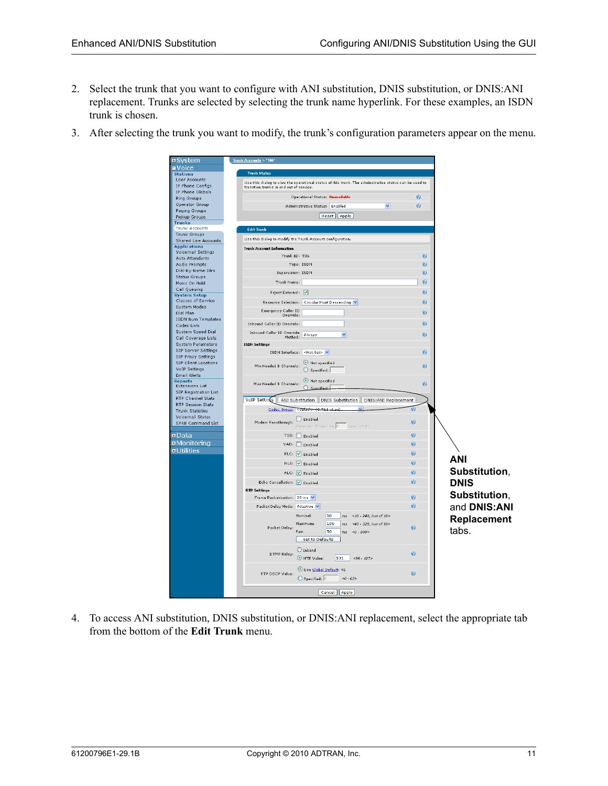- 2. Select the trunk that you want to configure with ANI substitution, DNIS substitution, or DNIS:ANI replacement. Trunks are selected by selecting the trunk name hyperlink. For these examples, an ISDN trunk is chosen.
- 3. After selecting the trunk you want to modify, the trunk's configuration parameters appear on the menu.



4. To access ANI substitution, DNIS substitution, or DNIS:ANI replacement, select the appropriate tab from the bottom of the **Edit Trunk** menu.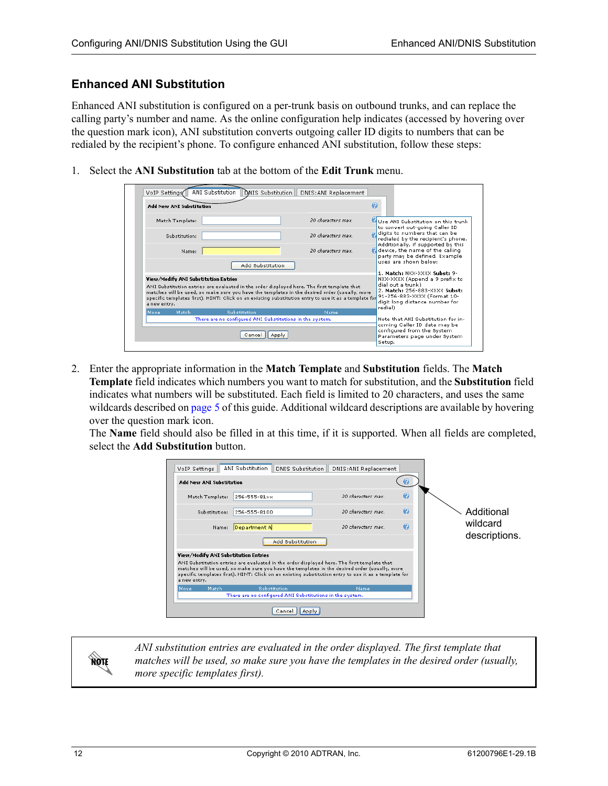### **Enhanced ANI Substitution**

Enhanced ANI substitution is configured on a per-trunk basis on outbound trunks, and can replace the calling party's number and name. As the online configuration help indicates (accessed by hovering over the question mark icon), ANI substitution converts outgoing caller ID digits to numbers that can be redialed by the recipient's phone. To configure enhanced ANI substitution, follow these steps:

1. Select the **ANI Substitution** tab at the bottom of the **Edit Trunk** menu.

| VoIP Settings |                                                                                                                                                                                                                                                                                                                                              | ANI Substitution<br>DNIS Substitution                                                                                                                            | DNIS: ANI Replacement |                                                                                                        |
|---------------|----------------------------------------------------------------------------------------------------------------------------------------------------------------------------------------------------------------------------------------------------------------------------------------------------------------------------------------------|------------------------------------------------------------------------------------------------------------------------------------------------------------------|-----------------------|--------------------------------------------------------------------------------------------------------|
|               | <b>Add New ANI Substitution</b>                                                                                                                                                                                                                                                                                                              |                                                                                                                                                                  |                       | Q                                                                                                      |
|               | Match Template:                                                                                                                                                                                                                                                                                                                              |                                                                                                                                                                  | 20 characters max.    | Use ANI Substitution on this trunk<br>to convert out-going Caller ID                                   |
|               | Substitution:                                                                                                                                                                                                                                                                                                                                |                                                                                                                                                                  | 20 characters max.    | digits to numbers that can be<br>redialed by the recipient's phone.                                    |
|               | Name:                                                                                                                                                                                                                                                                                                                                        |                                                                                                                                                                  | 20 characters max.    | Additionally, if supported by this<br>device, the name of the calling<br>party may be defined. Example |
|               |                                                                                                                                                                                                                                                                                                                                              | Add Substitution                                                                                                                                                 |                       | uses are shown below:<br>1. Match: NXX-XXXX Subst: 9-                                                  |
| a new entry.  | View/Modify ANI Substitution Entries<br>ANI Substitution entries are evaluated in the order displayed here. The first template that<br>matches will be used, so make sure you have the templates in the desired order (usually, more<br>specific templates first). HINT: Click on an existing substitution entry to use it as a template for | NXX-XXXX (Append a 9 prefix to<br>dial out a trunk)<br>2. Match: 256-883-XXXX Subst:<br>91-256-883-XXXX (Format 10-<br>digit long distance number for<br>redial) |                       |                                                                                                        |
| <b>Move</b>   | Match                                                                                                                                                                                                                                                                                                                                        | Substitution                                                                                                                                                     | Name                  |                                                                                                        |
|               |                                                                                                                                                                                                                                                                                                                                              | There are no configured ANI Substitutions in the system.                                                                                                         |                       | Note that ANI Substitution for in-<br>coming Caller ID data may be                                     |
|               |                                                                                                                                                                                                                                                                                                                                              | Cancel<br>Apply                                                                                                                                                  |                       | configured from the System<br>Parameters page under System<br>Setup.                                   |

2. Enter the appropriate information in the **Match Template** and **Substitution** fields. The **Match Template** field indicates which numbers you want to match for substitution, and the **Substitution** field indicates what numbers will be substituted. Each field is limited to 20 characters, and uses the same wildcards described on [page 5](#page-4-0) of this guide. Additional wildcard descriptions are available by hovering over the question mark icon.

The **Name** field should also be filled in at this time, if it is supported. When all fields are completed, select the **Add Substitution** button.

| VoIP Settings                                        | ANI Substitution<br>DNIS Substitution                                                                                                                                                                                                                                                                | DNIS: ANI Replacement |   |               |
|------------------------------------------------------|------------------------------------------------------------------------------------------------------------------------------------------------------------------------------------------------------------------------------------------------------------------------------------------------------|-----------------------|---|---------------|
| Add New ANI Substitution                             |                                                                                                                                                                                                                                                                                                      |                       |   |               |
| Match Template:                                      | 256-555-81xx                                                                                                                                                                                                                                                                                         | 20 characters max.    | Q |               |
| Substitution:                                        | 256-555-8100                                                                                                                                                                                                                                                                                         | 20 characters max.    | Θ | Additional    |
| Name:                                                | Department A                                                                                                                                                                                                                                                                                         | 20 characters max.    | Q | wildcard      |
|                                                      | Add Substitution                                                                                                                                                                                                                                                                                     |                       |   | descriptions. |
| View/Modify ANI Substitution Entries<br>a new entry. | ANI Substitution entries are evaluated in the order displayed here. The first template that<br>matches will be used, so make sure you have the templates in the desired order (usually, more<br>specific templates first). HINT: Click on an existing substitution entry to use it as a template for |                       |   |               |
| Match<br>Move                                        | Substitution                                                                                                                                                                                                                                                                                         | Name                  |   |               |
|                                                      | There are no configured ANI Substitutions in the system.                                                                                                                                                                                                                                             |                       |   |               |
|                                                      |                                                                                                                                                                                                                                                                                                      |                       |   |               |

*ANI substitution entries are evaluated in the order displayed. The first template that matches will be used, so make sure you have the templates in the desired order (usually, more specific templates first).* 

**AQTE**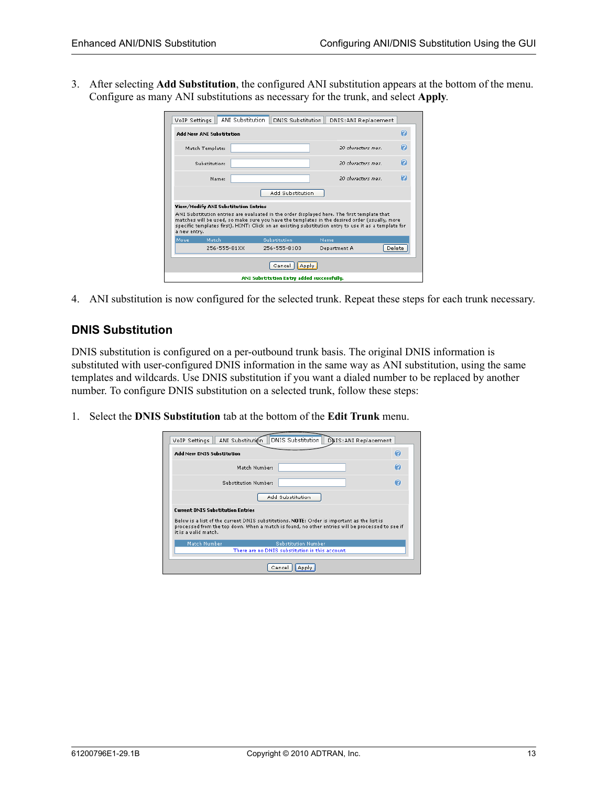3. After selecting **Add Substitution**, the configured ANI substitution appears at the bottom of the menu. Configure as many ANI substitutions as necessary for the trunk, and select **Apply**.

| ANI Substitution<br>VoIP Settings          | <b>DNIS Substitution</b>                                                                                                                                                                                                                                                                                                                     | DNIS: ANI Replacement |        |  |  |
|--------------------------------------------|----------------------------------------------------------------------------------------------------------------------------------------------------------------------------------------------------------------------------------------------------------------------------------------------------------------------------------------------|-----------------------|--------|--|--|
| <b>Add New ANI Substitution</b>            |                                                                                                                                                                                                                                                                                                                                              |                       | Q      |  |  |
| Match Template:                            |                                                                                                                                                                                                                                                                                                                                              | 20 characters may     | 0      |  |  |
| Substitution:                              |                                                                                                                                                                                                                                                                                                                                              | 20 characters may     | 0      |  |  |
| Name:                                      |                                                                                                                                                                                                                                                                                                                                              | 20 characters may     | Θ      |  |  |
|                                            | Add Substitution                                                                                                                                                                                                                                                                                                                             |                       |        |  |  |
| a new entry.                               | View/Modify ANI Substitution Entries<br>ANI Substitution entries are evaluated in the order displayed here. The first template that<br>matches will be used, so make sure you have the templates in the desired order (usually, more<br>specific templates first). HINT: Click on an existing substitution entry to use it as a template for |                       |        |  |  |
| Match<br>Move                              | <b>Substitution</b>                                                                                                                                                                                                                                                                                                                          | Name                  |        |  |  |
| 256-555-81XX                               | 256-555-8100                                                                                                                                                                                                                                                                                                                                 | Department A          | Delete |  |  |
| Cancel<br>Apply                            |                                                                                                                                                                                                                                                                                                                                              |                       |        |  |  |
| ANI Substitution Entry added successfully. |                                                                                                                                                                                                                                                                                                                                              |                       |        |  |  |

4. ANI substitution is now configured for the selected trunk. Repeat these steps for each trunk necessary.

#### **DNIS Substitution**

DNIS substitution is configured on a per-outbound trunk basis. The original DNIS information is substituted with user-configured DNIS information in the same way as ANI substitution, using the same templates and wildcards. Use DNIS substitution if you want a dialed number to be replaced by another number. To configure DNIS substitution on a selected trunk, follow these steps:

1. Select the **DNIS Substitution** tab at the bottom of the **Edit Trunk** menu.

| VoIP Settings                            | ANI Substitution                                                                                                                                                                               | DNIS Substitution   DNIS: ANI Replacement |              |
|------------------------------------------|------------------------------------------------------------------------------------------------------------------------------------------------------------------------------------------------|-------------------------------------------|--------------|
| <b>Add New DNIS Substitution</b>         |                                                                                                                                                                                                |                                           | Q            |
|                                          | Match Number:                                                                                                                                                                                  |                                           | $\mathbf{O}$ |
|                                          | <b>Substitution Number:</b>                                                                                                                                                                    |                                           | Q            |
|                                          | Add Substitution                                                                                                                                                                               |                                           |              |
| <b>Current DNIS Substitution Entries</b> |                                                                                                                                                                                                |                                           |              |
| it is a valid match.                     | Below is a list of the current DNIS substitutions. NOTE: Order is important as the list is<br>processed from the top down. When a match is found, no other entries will be processed to see if |                                           |              |
| Match Number                             | <b>Substitution Number</b>                                                                                                                                                                     |                                           |              |
|                                          | There are no DNIS substitution in this account.                                                                                                                                                |                                           |              |
|                                          | Cancel<br>Apply                                                                                                                                                                                |                                           |              |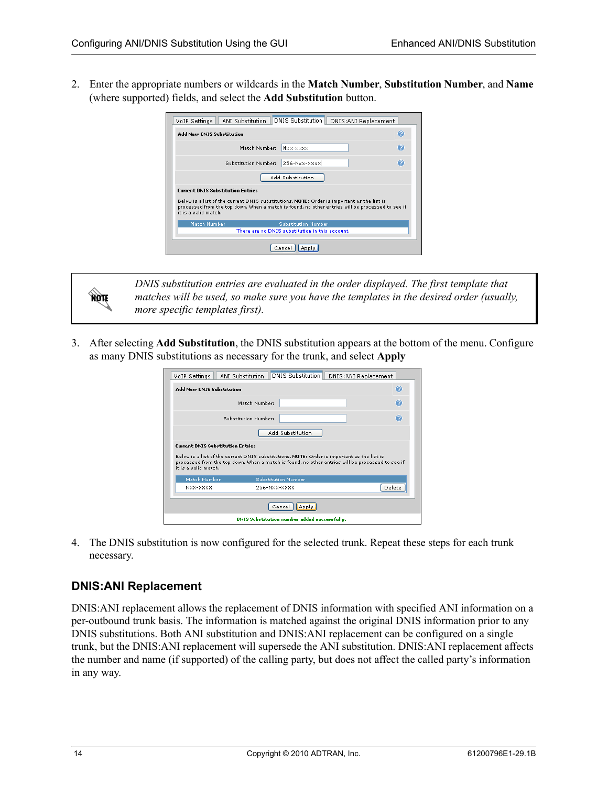2. Enter the appropriate numbers or wildcards in the **Match Number**, **Substitution Number**, and **Name** (where supported) fields, and select the **Add Substitution** button.

| VoIP Settings                                                                                                                                                                                                                                                      | ANI Substitution     | DNIS Substitution                                                             | DNIS: ANI Replacement |   |
|--------------------------------------------------------------------------------------------------------------------------------------------------------------------------------------------------------------------------------------------------------------------|----------------------|-------------------------------------------------------------------------------|-----------------------|---|
| <b>Add New DNIS Substitution</b>                                                                                                                                                                                                                                   |                      |                                                                               |                       | Q |
|                                                                                                                                                                                                                                                                    | Match Number:        | Nxx-xxxx                                                                      |                       | Q |
|                                                                                                                                                                                                                                                                    | Substitution Number: | $256$ -Nxx-xxxx                                                               |                       | Ω |
|                                                                                                                                                                                                                                                                    |                      | Add Substitution                                                              |                       |   |
| <b>Current DNIS Substitution Entries</b><br>Below is a list of the current DNIS substitutions. NOTE: Order is important as the list is<br>processed from the top down. When a match is found, no other entries will be processed to see if<br>it is a valid match. |                      |                                                                               |                       |   |
| Match Number                                                                                                                                                                                                                                                       |                      | <b>Substitution Number</b><br>There are no DNIS substitution in this account. |                       |   |
|                                                                                                                                                                                                                                                                    |                      |                                                                               |                       |   |
|                                                                                                                                                                                                                                                                    |                      | Cancel                                                                        |                       |   |

*DNIS substitution entries are evaluated in the order displayed. The first template that matches will be used, so make sure you have the templates in the desired order (usually, more specific templates first).* 

3. After selecting **Add Substitution**, the DNIS substitution appears at the bottom of the menu. Configure as many DNIS substitutions as necessary for the trunk, and select **Apply**

| VoIP Settings                            | <b>DNIS Substitution</b><br>ANI Substitution                                                                                                                                                   | DNIS: ANI Replacement |  |  |
|------------------------------------------|------------------------------------------------------------------------------------------------------------------------------------------------------------------------------------------------|-----------------------|--|--|
| Add New DNIS Substitution                |                                                                                                                                                                                                | $\mathbf{Q}$          |  |  |
|                                          | Match Number:                                                                                                                                                                                  | Ω                     |  |  |
|                                          | <b>Substitution Numbers</b>                                                                                                                                                                    | Q                     |  |  |
|                                          | Add Substitution                                                                                                                                                                               |                       |  |  |
| <b>Current DNIS Substitution Entries</b> |                                                                                                                                                                                                |                       |  |  |
| it is a valid match.                     | Below is a list of the current DNIS substitutions. NOTE: Order is important as the list is<br>processed from the top down. When a match is found, no other entries will be processed to see if |                       |  |  |
| Match Number                             | <b>Substitution Number</b>                                                                                                                                                                     |                       |  |  |
| NXX-XXXX                                 | 256-NXX-XXXX                                                                                                                                                                                   | Delete                |  |  |
|                                          | Cancel<br>Apply                                                                                                                                                                                |                       |  |  |
|                                          | DNIS Substitution number added successfully.                                                                                                                                                   |                       |  |  |

4. The DNIS substitution is now configured for the selected trunk. Repeat these steps for each trunk necessary.

## **DNIS:ANI Replacement**

**HOIF** 

DNIS:ANI replacement allows the replacement of DNIS information with specified ANI information on a per-outbound trunk basis. The information is matched against the original DNIS information prior to any DNIS substitutions. Both ANI substitution and DNIS:ANI replacement can be configured on a single trunk, but the DNIS:ANI replacement will supersede the ANI substitution. DNIS:ANI replacement affects the number and name (if supported) of the calling party, but does not affect the called party's information in any way.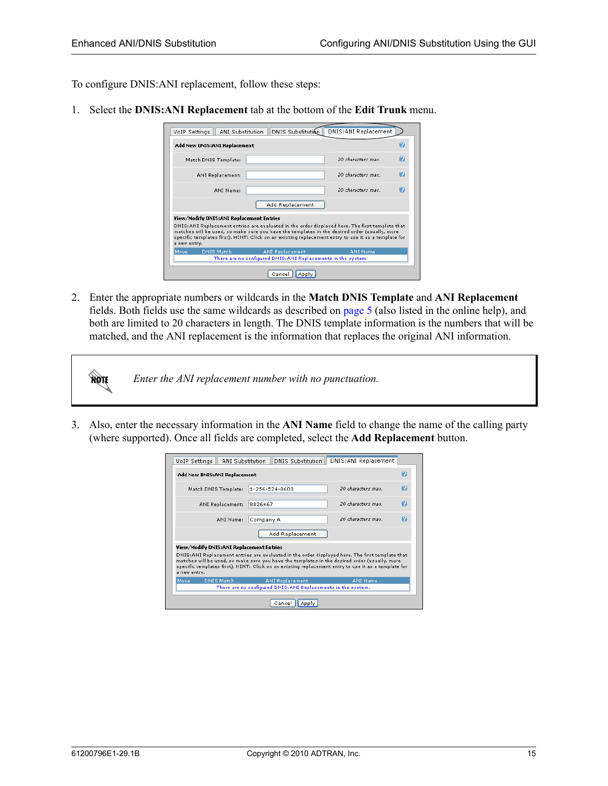To configure DNIS:ANI replacement, follow these steps:

1. Select the **DNIS:ANI Replacement** tab at the bottom of the **Edit Trunk** menu.

|                                                                                                                                                                                                                                                                                                                          | Ω<br>Add New DNIS: ANI Replacement       |                        |                    |   |  |
|--------------------------------------------------------------------------------------------------------------------------------------------------------------------------------------------------------------------------------------------------------------------------------------------------------------------------|------------------------------------------|------------------------|--------------------|---|--|
|                                                                                                                                                                                                                                                                                                                          |                                          |                        |                    |   |  |
|                                                                                                                                                                                                                                                                                                                          | Match DNIS Template:                     |                        | 20 characters max. | Q |  |
|                                                                                                                                                                                                                                                                                                                          | ANI Replacement:                         |                        | 20 characters max. | 0 |  |
|                                                                                                                                                                                                                                                                                                                          | ANI Name:                                |                        | 20 characters max. | Θ |  |
|                                                                                                                                                                                                                                                                                                                          |                                          | Add Replacement        |                    |   |  |
|                                                                                                                                                                                                                                                                                                                          | View/Modify DNIS:ANI Replacement Entries |                        |                    |   |  |
| DNIS: ANI Replacement entries are evaluated in the order displayed here. The first template that<br>matches will be used, so make sure you have the templates in the desired order (usually, more<br>specific templates first). HINT: Click on an existing replacement entry to use it as a template for<br>a new entry. |                                          |                        |                    |   |  |
| Move <sub>.</sub>                                                                                                                                                                                                                                                                                                        | DNIS Match                               | <b>ANI Replacement</b> | <b>ANI Name</b>    |   |  |
| There are no configured DNIS: ANI Replacements in the system.                                                                                                                                                                                                                                                            |                                          |                        |                    |   |  |

2. Enter the appropriate numbers or wildcards in the **Match DNIS Template** and **ANI Replacement** fields. Both fields use the same wildcards as described on [page 5](#page-4-0) (also listed in the online help), and both are limited to 20 characters in length. The DNIS template information is the numbers that will be matched, and the ANI replacement is the information that replaces the original ANI information.

| NOTE | Enter the ANI replacement number with no punctuation. |
|------|-------------------------------------------------------|
|------|-------------------------------------------------------|

3. Also, enter the necessary information in the **ANI Name** field to change the name of the calling party (where supported). Once all fields are completed, select the **Add Replacement** button.

| VoIP Settings                                                                                                                                                                                                                                                                                                            | ANI Substitution<br><b>DNIS Substitution</b>                  | DNIS: ANI Replacement  |  |  |  |
|--------------------------------------------------------------------------------------------------------------------------------------------------------------------------------------------------------------------------------------------------------------------------------------------------------------------------|---------------------------------------------------------------|------------------------|--|--|--|
| Ω<br>Add New DNIS: ANI Replacement                                                                                                                                                                                                                                                                                       |                                                               |                        |  |  |  |
| Match DNIS Template:                                                                                                                                                                                                                                                                                                     | 1-256-524-8600                                                | 2<br>20 characters may |  |  |  |
| <b>ANI Replacement:</b>                                                                                                                                                                                                                                                                                                  | 8826467                                                       | Ω<br>20 characters may |  |  |  |
| ANI Name:                                                                                                                                                                                                                                                                                                                | Company A                                                     | Ω<br>20 characters may |  |  |  |
|                                                                                                                                                                                                                                                                                                                          | Add Replacement                                               |                        |  |  |  |
| View/Modify DNIS:ANI Replacement Entries                                                                                                                                                                                                                                                                                 |                                                               |                        |  |  |  |
| DNIS: ANI Replacement entries are evaluated in the order displayed here. The first template that<br>matches will be used, so make sure you have the templates in the desired order (usually, more<br>specific templates first). HINT: Click on an existing replacement entry to use it as a template for<br>a new entry. |                                                               |                        |  |  |  |
| Move<br><b>DNIS Match</b>                                                                                                                                                                                                                                                                                                | <b>ANI Replacement</b>                                        | <b>ANI Name</b>        |  |  |  |
|                                                                                                                                                                                                                                                                                                                          | There are no configured DNIS: ANI Replacements in the system. |                        |  |  |  |
| Cancel<br>Apply                                                                                                                                                                                                                                                                                                          |                                                               |                        |  |  |  |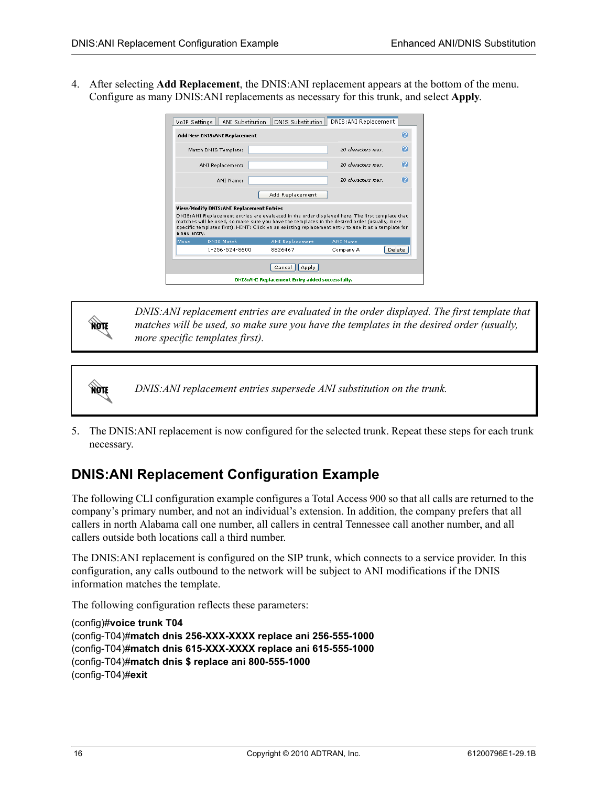4. After selecting **Add Replacement**, the DNIS:ANI replacement appears at the bottom of the menu. Configure as many DNIS:ANI replacements as necessary for this trunk, and select **Apply**.

| DNIS: ANI Replacement<br><b>DNIS Substitution</b><br>ANI Substitution<br>VoIP Settings                                                                                                                                                                                                                                                                               |                                                |                        |                    |        |  |
|----------------------------------------------------------------------------------------------------------------------------------------------------------------------------------------------------------------------------------------------------------------------------------------------------------------------------------------------------------------------|------------------------------------------------|------------------------|--------------------|--------|--|
|                                                                                                                                                                                                                                                                                                                                                                      | $\bullet$<br>Add New DNIS:ANI Replacement      |                        |                    |        |  |
|                                                                                                                                                                                                                                                                                                                                                                      | Match DNIS Template:                           |                        | 20 characters max. | Q      |  |
|                                                                                                                                                                                                                                                                                                                                                                      | ANI Replacement:                               |                        | 20 characters max. | Q      |  |
|                                                                                                                                                                                                                                                                                                                                                                      | ANI Name:                                      |                        | 20 characters max. | Θ      |  |
|                                                                                                                                                                                                                                                                                                                                                                      |                                                | Add Replacement        |                    |        |  |
| View/Modify DNIS:ANI Replacement Entries<br>DNIS: ANI Replacement entries are evaluated in the order displayed here. The first template that<br>matches will be used, so make sure you have the templates in the desired order (usually, more<br>specific templates first). HINT: Click on an existing replacement entry to use it as a template for<br>a new entry. |                                                |                        |                    |        |  |
| Move                                                                                                                                                                                                                                                                                                                                                                 | <b>DNIS Match</b>                              | <b>ANI Replacement</b> | <b>ANI Name</b>    |        |  |
|                                                                                                                                                                                                                                                                                                                                                                      | 1-256-524-8600                                 | 8826467                | Company A          | Delete |  |
|                                                                                                                                                                                                                                                                                                                                                                      | Cancel<br>Apply                                |                        |                    |        |  |
|                                                                                                                                                                                                                                                                                                                                                                      | DNIS:ANI Replacement Entry added successfully. |                        |                    |        |  |

**AQIE** 

*DNIS:ANI replacement entries are evaluated in the order displayed. The first template that matches will be used, so make sure you have the templates in the desired order (usually, more specific templates first).* 

**AQIE** *DNIS:ANI replacement entries supersede ANI substitution on the trunk.*

5. The DNIS:ANI replacement is now configured for the selected trunk. Repeat these steps for each trunk necessary.

## <span id="page-15-0"></span>**DNIS:ANI Replacement Configuration Example**

The following CLI configuration example configures a Total Access 900 so that all calls are returned to the company's primary number, and not an individual's extension. In addition, the company prefers that all callers in north Alabama call one number, all callers in central Tennessee call another number, and all callers outside both locations call a third number.

The DNIS:ANI replacement is configured on the SIP trunk, which connects to a service provider. In this configuration, any calls outbound to the network will be subject to ANI modifications if the DNIS information matches the template.

The following configuration reflects these parameters:

```
(config)#voice trunk T04
(config-T04)#match dnis 256-XXX-XXXX replace ani 256-555-1000
(config-T04)#match dnis 615-XXX-XXXX replace ani 615-555-1000
(config-T04)#match dnis $ replace ani 800-555-1000
(config-T04)#exit
```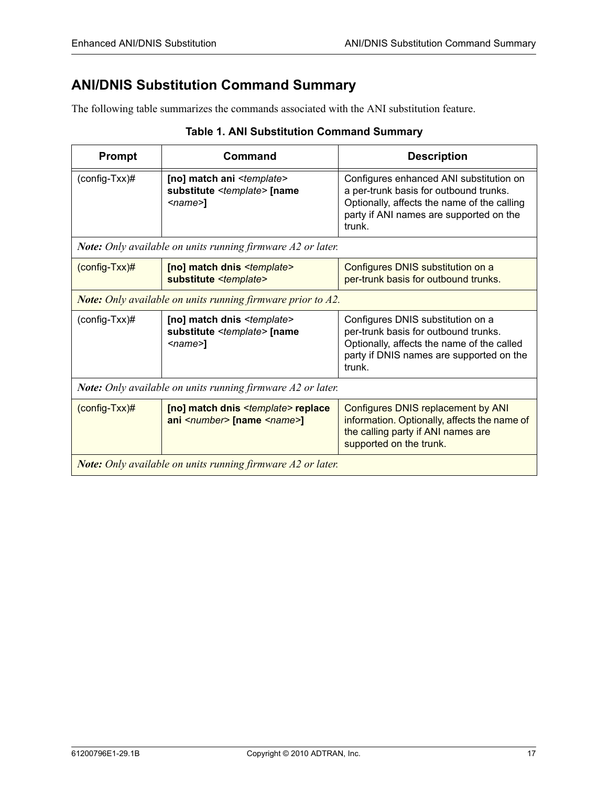## <span id="page-16-0"></span>**ANI/DNIS Substitution Command Summary**

The following table summarizes the commands associated with the ANI substitution feature.

| <b>Prompt</b>                                                      | Command                                                                                                                      | <b>Description</b>                                                                                                                                                                    |  |  |
|--------------------------------------------------------------------|------------------------------------------------------------------------------------------------------------------------------|---------------------------------------------------------------------------------------------------------------------------------------------------------------------------------------|--|--|
| $(config-Txx)\#$                                                   | [no] match ani <template><br/>substitute <template> [name<br/><math>&lt;</math>name<math>&gt;1</math></template></template>  | Configures enhanced ANI substitution on<br>a per-trunk basis for outbound trunks.<br>Optionally, affects the name of the calling<br>party if ANI names are supported on the<br>trunk. |  |  |
| <b>Note:</b> Only available on units running firmware A2 or later. |                                                                                                                              |                                                                                                                                                                                       |  |  |
| $(config-Txx)\#$                                                   | [no] match dnis <template><br/>substitute <template></template></template>                                                   | Configures DNIS substitution on a<br>per-trunk basis for outbound trunks.                                                                                                             |  |  |
| <b>Note:</b> Only available on units running firmware prior to A2. |                                                                                                                              |                                                                                                                                                                                       |  |  |
| $(config-Txx)\#$                                                   | [no] match dnis <template><br/>substitute <template> [name<br/><math>&lt;</math>name<math>&gt;1</math></template></template> | Configures DNIS substitution on a<br>per-trunk basis for outbound trunks.<br>Optionally, affects the name of the called<br>party if DNIS names are supported on the<br>trunk.         |  |  |
| Note: Only available on units running firmware A2 or later.        |                                                                                                                              |                                                                                                                                                                                       |  |  |
| $(config-Txx)\#$                                                   | [no] match dnis <template> replace<br/>ani <number> [name <name>]</name></number></template>                                 | <b>Configures DNIS replacement by ANI</b><br>information. Optionally, affects the name of<br>the calling party if ANI names are<br>supported on the trunk.                            |  |  |
| <b>Note:</b> Only available on units running firmware A2 or later. |                                                                                                                              |                                                                                                                                                                                       |  |  |

### **Table 1. ANI Substitution Command Summary**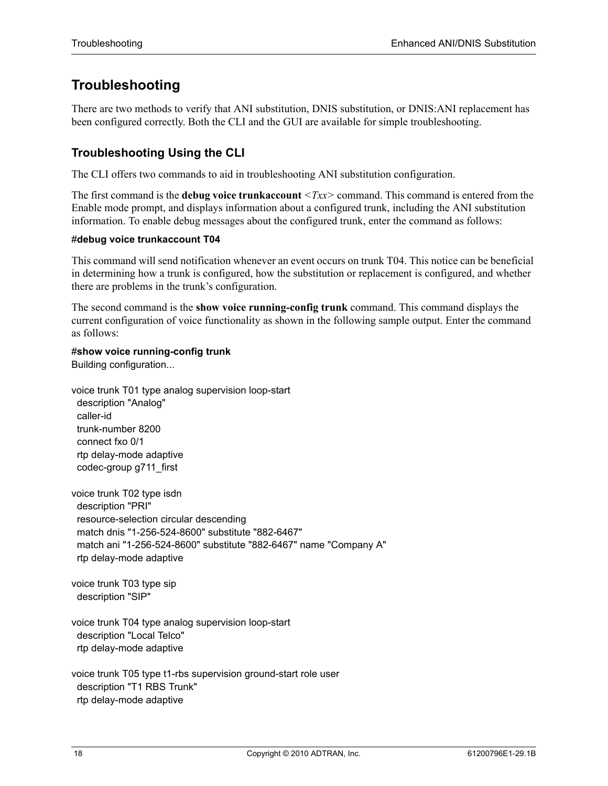## <span id="page-17-0"></span>**Troubleshooting**

There are two methods to verify that ANI substitution, DNIS substitution, or DNIS:ANI replacement has been configured correctly. Both the CLI and the GUI are available for simple troubleshooting.

## **Troubleshooting Using the CLI**

The CLI offers two commands to aid in troubleshooting ANI substitution configuration.

The first command is the **debug voice trunkaccount** *<Txx>* command. This command is entered from the Enable mode prompt, and displays information about a configured trunk, including the ANI substitution information. To enable debug messages about the configured trunk, enter the command as follows:

#### #**debug voice trunkaccount T04**

This command will send notification whenever an event occurs on trunk T04. This notice can be beneficial in determining how a trunk is configured, how the substitution or replacement is configured, and whether there are problems in the trunk's configuration.

The second command is the **show voice running-config trunk** command. This command displays the current configuration of voice functionality as shown in the following sample output. Enter the command as follows:

#### #**show voice running-config trunk**

Building configuration...

voice trunk T01 type analog supervision loop-start description "Analog" caller-id trunk-number 8200 connect fxo 0/1 rtp delay-mode adaptive codec-group g711\_first

voice trunk T02 type isdn description "PRI" resource-selection circular descending match dnis "1-256-524-8600" substitute "882-6467" match ani "1-256-524-8600" substitute "882-6467" name "Company A" rtp delay-mode adaptive

voice trunk T03 type sip description "SIP"

voice trunk T04 type analog supervision loop-start description "Local Telco" rtp delay-mode adaptive

voice trunk T05 type t1-rbs supervision ground-start role user description "T1 RBS Trunk" rtp delay-mode adaptive